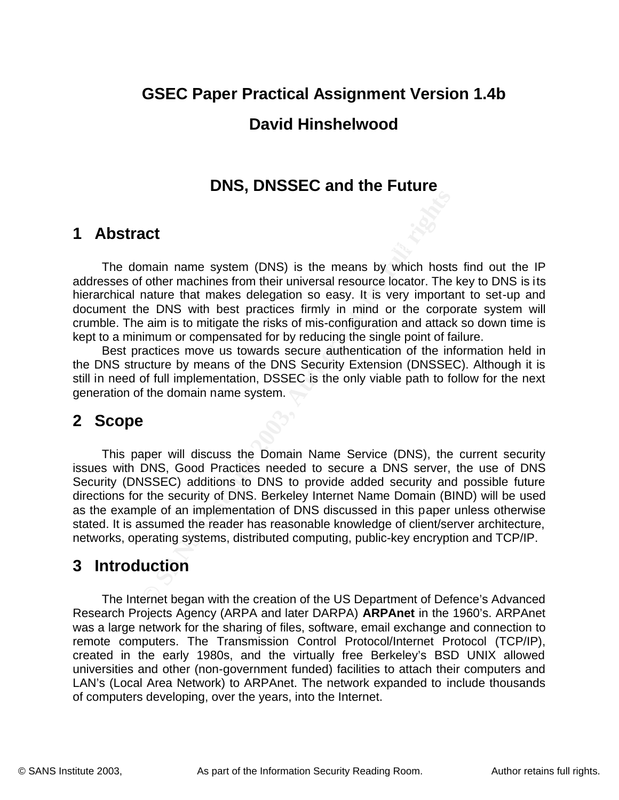# **GSEC Paper Practical Assignment Version 1.4b**

## **David Hinshelwood**

## **DNS, DNSSEC and the Future**

## **1 Abstract**

The domain name system (DNS) is the means by which hosts find out the IP addresses of other machines from their universal resource locator. The key to DNS is its hierarchical nature that makes delegation so easy. It is very important to set-up and document the DNS with best practices firmly in mind or the corporate system will crumble. The aim is to mitigate the risks of mis-configuration and attack so down time is kept to a minimum or compensated for by reducing the single point of failure.

Best practices move us towards secure authentication of the information held in the DNS structure by means of the DNS Security Extension (DNSSEC). Although it is still in need of full implementation, DSSEC is the only viable path to follow for the next generation of the domain name system.

# **2 Scope**

**Example 19 and System CONS**) is the means by which hosts of their machines from their universal resource locator. The nature that makes delegation so easy. It is very importate a DNS with best practices firmly in mind or This paper will discuss the Domain Name Service (DNS), the current security issues with DNS, Good Practices needed to secure a DNS server, the use of DNS Security (DNSSEC) additions to DNS to provide added security and possible future directions for the security of DNS. Berkeley Internet Name Domain (BIND) will be used as the example of an implementation of DNS discussed in this paper unless otherwise stated. It is assumed the reader has reasonable knowledge of client/server architecture, networks, operating systems, distributed computing, public-key encryption and TCP/IP.

## **3 Introduction**

universities and other (non-government funded) facilities to attach their computers and The Internet began with the creation of the US Department of Defence's Advanced Research Projects Agency (ARPA and later DARPA) **ARPAnet** in the 1960's. ARPAnet was a large network for the sharing of files, software, email exchange and connection to remote computers. The Transmission Control Protocol/Internet Protocol (TCP/IP), created in the early 1980s, and the virtually free Berkeley's BSD UNIX allowed LAN's (Local Area Network) to ARPAnet. The network expanded to include thousands of computers developing, over the years, into the Internet.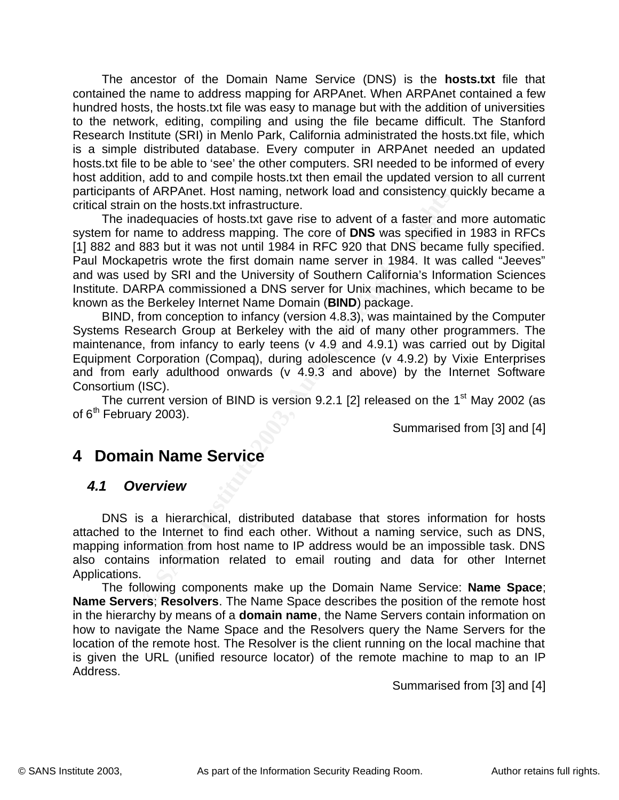The ancestor of the Domain Name Service (DNS) is the **hosts.txt** file that contained the name to address mapping for ARPAnet. When ARPAnet contained a few hundred hosts, the hosts.txt file was easy to manage but with the addition of universities to the network, editing, compiling and using the file became difficult. The Stanford Research Institute (SRI) in Menlo Park, California administrated the hosts.txt file, which is a simple distributed database. Every computer in ARPAnet needed an updated hosts.txt file to be able to 'see' the other computers. SRI needed to be informed of every host addition, add to and compile hosts.txt then email the updated version to all current participants of ARPAnet. Host naming, network load and consistency quickly became a critical strain on the hosts.txt infrastructure.

In Name Service<br>
an hierarch cross training, herework load and consistency quantion on the hosts.txt infrastructure.<br>
adequacies of hosts.txt gave rise to advent of a faster and<br>
ane to address mapping. The core of DNS was [1] 882 and 883 but it was not until 1984 in RFC 920 that DNS became fully specified. The inadequacies of hosts.txt gave rise to advent of a faster and more automatic system for name to address mapping. The core of **DNS** was specified in 1983 in RFCs Paul Mockapetris wrote the first domain name server in 1984. It was called "Jeeves" and was used by SRI and the University of Southern California's Information Sciences Institute. DARPA commissioned a DNS server for Unix machines, which became to be known as the Berkeley Internet Name Domain (**BIND**) package.

BIND, from conception to infancy (version 4.8.3), was maintained by the Computer Systems Research Group at Berkeley with the aid of many other programmers. The maintenance, from infancy to early teens (v 4.9 and 4.9.1) was carried out by Digital Equipment Corporation (Compaq), during adolescence (v 4.9.2) by Vixie Enterprises and from early adulthood onwards (v 4.9.3 and above) by the Internet Software Consortium (ISC).

The current version of BIND is version 9.2.1 [2] released on the  $1<sup>st</sup>$  May 2002 (as of  $6<sup>th</sup>$  February 2003).

Summarised from [3] and [4]

## **4 Domain Name Service**

### *4.1 Overview*

DNS is a hierarchical, distributed database that stores information for hosts attached to the Internet to find each other. Without a naming service, such as DNS, mapping information from host name to IP address would be an impossible task. DNS also contains information related to email routing and data for other Internet Applications.

is given the URL (unified resource locator) of the remote machine to map to an IP<br>Address The following components make up the Domain Name Service: **Name Space**; **Name Servers**; **Resolvers**. The Name Space describes the position of the remote host in the hierarchy by means of a **domain name**, the Name Servers contain information on how to navigate the Name Space and the Resolvers query the Name Servers for the location of the remote host. The Resolver is the client running on the local machine that Address.

Summarised from [3] and [4]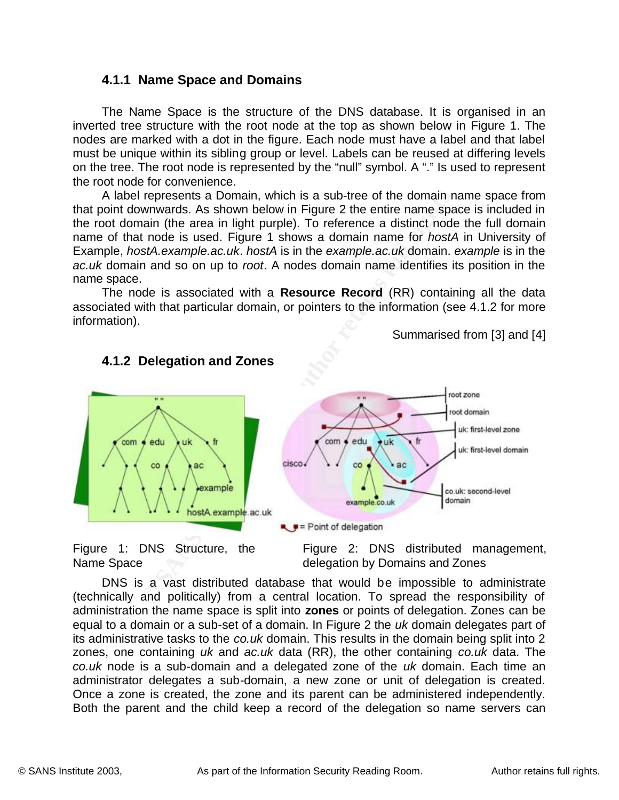### **4.1.1 Name Space and Domains**

The Name Space is the structure of the DNS database. It is organised in an inverted tree structure with the root node at the top as shown below in Figure 1. The nodes are marked with a dot in the figure. Each node must have a label and that label must be unique within its sibling group or level. Labels can be reused at differing levels on the tree. The root node is represented by the "null" symbol. A "." Is used to represent the root node for convenience.

Example, *hostA.example.ac.uk. hostA* is in the *example.ac.uk* domain. *example* is in the A label represents a Domain, which is a sub-tree of the domain name space from that point downwards. As shown below in Figure 2 the entire name space is included in the root domain (the area in light purple). To reference a distinct node the full domain name of that node is used. Figure 1 shows a domain name for *hostA* in University of *ac.uk* domain and so on up to *root*. A nodes domain name identifies its position in the name space.

The node is associated with a **Resource Record** (RR) containing all the data associated with that particular domain, or pointers to the information (see 4.1.2 for more information).

Summarised from [3] and [4]



#### **4.1.2 Delegation and Zones**

Figure 1: DNS Structure, the Name Space

Figure 2: DNS distributed management, delegation by Domains and Zones

co.uk node is a sub-domain and a delegated zone of the uk domain. Each time an DNS is a vast distributed database that would be impossible to administrate (technically and politically) from a central location. To spread the responsibility of administration the name space is split into **zones** or points of delegation. Zones can be equal to a domain or a sub-set of a domain. In Figure 2 the *uk* domain delegates part of its administrative tasks to the *co.uk* domain. This results in the domain being split into 2 zones, one containing *uk* and *ac.uk* data (RR), the other containing *co.uk* data. The administrator delegates a sub-domain, a new zone or unit of delegation is created. Once a zone is created, the zone and its parent can be administered independently. Both the parent and the child keep a record of the delegation so name servers can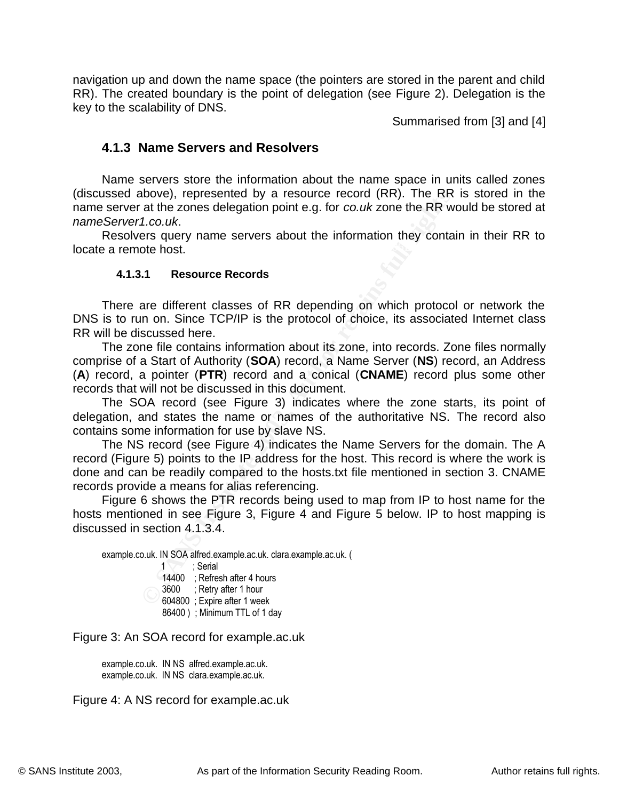navigation up and down the name space (the pointers are stored in the parent and child RR). The created boundary is the point of delegation (see Figure 2). Delegation is the key to the scalability of DNS.

Summarised from [3] and [4]

#### **4.1.3 Name Servers and Resolvers**

Name servers store the information about the name space in units called zones (discussed above), represented by a resource record (RR). The RR is stored in the name server at the zones delegation point e.g. for *co.uk* zone the RR would be stored at *nameServer1.co.uk*.

locate a remote host. The affine state of the state of the state of the state of the state of the state of the Resolvers query name servers about the information they contain in their RR to

#### **4.1.3.1 Resource Records**

There are different classes of RR depending on which protocol or network the DNS is to run on. Since TCP/IP is the protocol of choice, its associated Internet class RR will be discussed here.

**Example 18** Solved, represented by a resource record (RR). The RR at the zones delegation point e.g. for *co.uk* zone the RR w and the zones delegation point e.g. for *co.uk* zone the RR w are started to the host.<br> **Altar** The zone file contains information about its zone, into records. Zone files normally comprise of a Start of Authority (**SOA**) record, a Name Server (**NS**) record, an Address (**A**) record, a pointer (**PTR**) record and a conical (**CNAME**) record plus some other records that will not be discussed in this document.

The SOA record (see Figure 3) indicates where the zone starts, its point of delegation, and states the name or names of the authoritative NS. The record also contains some information for use by slave NS.

The NS record (see Figure 4) indicates the Name Servers for the domain. The A record (Figure 5) points to the IP address for the host. This record is where the work is done and can be readily compared to the hosts.txt file mentioned in section 3. CNAME records provide a means for alias referencing.

Figure 6 shows the PTR records being used to map from IP to host name for the hosts mentioned in see Figure 3, Figure 4 and Figure 5 below. IP to host mapping is discussed in section 4.1.3.4.

example.co.uk. IN SOA alfred.example.ac.uk. clara.example.ac.uk. (  $1 \times 1$  : Serial 14400 ; Refresh after 4 hours 3600 ; Retry after 1 hour 604800 ; Expire after 1 week 86400 ) ; Minimum TTL of 1 day

Figure 3: An SOA record for example.ac.uk

example.co.uk. IN NS alfred.example.ac.uk. example.co.uk. IN NS clara.example.ac.uk.

Figure 4: A NS record for example.ac.uk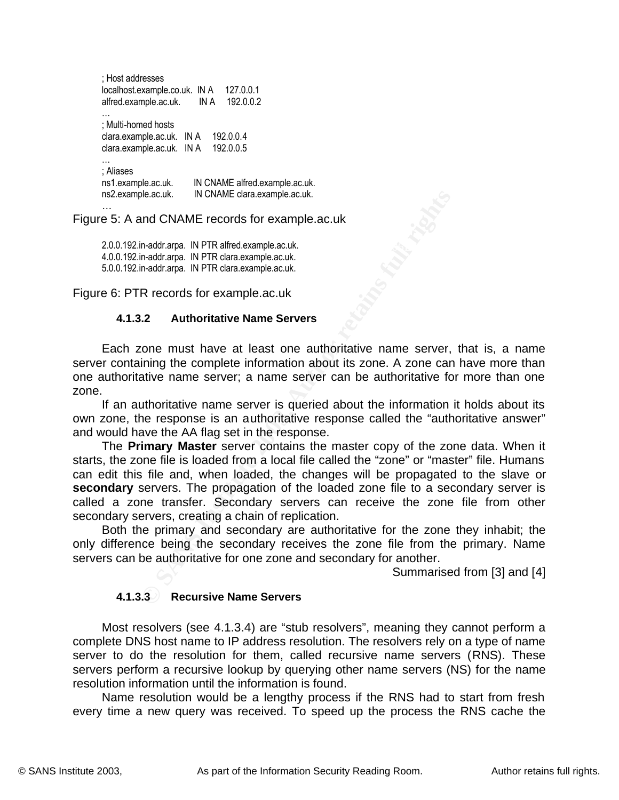| ; Host addresses                                      | 127.0.0.1                                                       |
|-------------------------------------------------------|-----------------------------------------------------------------|
| localhost.example.co.uk. IN A                         | 192.0.0.2                                                       |
| alfred.example.ac.uk.                                 | IN A                                                            |
| ; Multi-homed hosts                                   | 192.0.0.4                                                       |
| clara.example.ac.uk. IN A                             | 192.0.0.5                                                       |
| clara.example.ac.uk.                                  | IN A                                                            |
| ; Aliases<br>ns1.example.ac.uk.<br>ns2.example.ac.uk. | IN CNAME alfred.example.ac.uk.<br>IN CNAME clara.example.ac.uk. |

Figure 5: A and CNAME records for example.ac.uk

2.0.0.192.in-addr.arpa. IN PTR alfred.example.ac.uk. 4.0.0.192.in-addr.arpa. IN PTR clara.example.ac.uk. 5.0.0.192.in-addr.arpa. IN PTR clara.example.ac.uk.

Figure 6: PTR records for example.ac.uk

#### **4.1.3.2 Authoritative Name Servers**

Each zone must have at least one authoritative name server, that is, a name server containing the complete information about its zone. A zone can have more than one authoritative name server; a name server can be authoritative for more than one zone.

If an authoritative name server is queried about the information it holds about its own zone, the response is an authoritative response called the "authoritative answer" and would have the AA flag set in the response.

**CONTRANT CONDUCT CONDUCT CONDUCT CONDUCT CONDUCT CONDUCT CONDUCT CONDUCT CONDUCT CONDUCT CONDUCT CONDUCT CONDUCT CONDUCT CONDUCT CONDUCT CONDUCT CONDUCT CONDUCT CONDUCT CONDUCT CONDUCT CONDUCT CONDUCT CONDUCT CONDUCT COND** The **Primary Master** server contains the master copy of the zone data. When it starts, the zone file is loaded from a local file called the "zone" or "master" file. Humans can edit this file and, when loaded, the changes will be propagated to the slave or **secondary** servers. The propagation of the loaded zone file to a secondary server is called a zone transfer. Secondary servers can receive the zone file from other secondary servers, creating a chain of replication.

Both the primary and secondary are authoritative for the zone they inhabit; the only difference being the secondary receives the zone file from the primary. Name servers can be authoritative for one zone and secondary for another.

Summarised from [3] and [4]

#### **4.1.3.3 Recursive Name Servers**

servers perform a recursive lookup by querying other name servers (NS) for the name Most resolvers (see 4.1.3.4) are "stub resolvers", meaning they cannot perform a complete DNS host name to IP address resolution. The resolvers rely on a type of name server to do the resolution for them, called recursive name servers (RNS). These resolution information until the information is found.

Name resolution would be a lengthy process if the RNS had to start from fresh every time a new query was received. To speed up the process the RNS cache the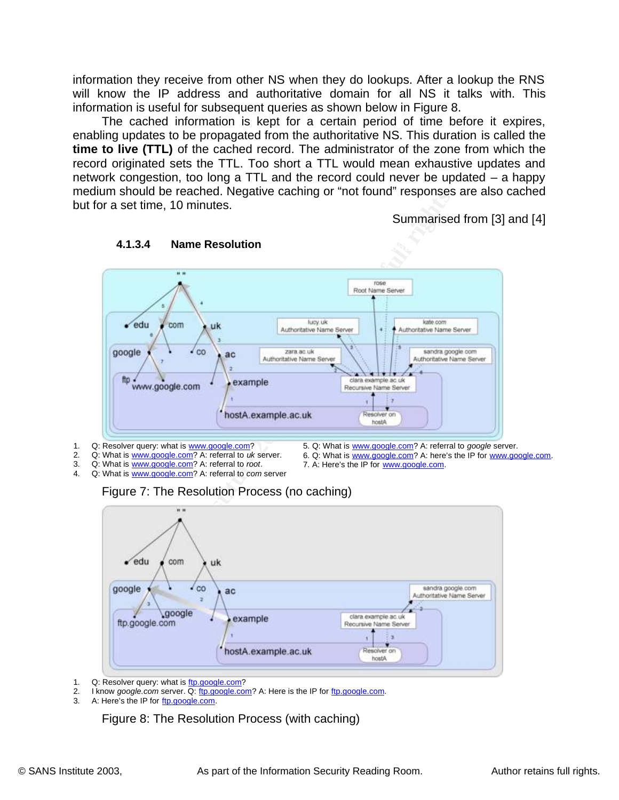information they receive from other NS when they do lookups. After a lookup the RNS will know the IP address and authoritative domain for all NS it talks with. This information is useful for subsequent queries as shown below in Figure 8.

The cached information is kept for a certain period of time before it expires, enabling updates to be propagated from the authoritative NS. This duration is called the **time to live (TTL)** of the cached record. The administrator of the zone from which the record originated sets the TTL. Too short a TTL would mean exhaustive updates and network congestion, too long a TTL and the record could never be updated – a happy medium should be reached. Negative caching or "not found" responses are also cached but for a set time, 10 minutes.

Summarised from [3] and [4]



## **4.1.3.4** Name Resolution

- 1. Q: Resolver query: what is www.google.com?
- 2. Q: What is www.google.com? A: referral to *uk* server.
- 3. Q: What is www.google.com? A: referral to *root*.
- 4. Q: What is www.google.com? A: referral to *com* server
- 5. Q: What is www.google.com? A: referral to *google* server.
- 6. Q: What is www.google.com? A: here's the IP for www.google.com.
- 7. A: Here's the IP for www.google.com.



- Q: Resolver query: what is ftp.google.com?
- 2. I know *google.com* server. Q: ftp.google.com? A: Here is the IP for ftp.google.com.

Figure 7: The Resolution Process (no caching)

3. A: Here's the IP for ftp.google.com.

Figure 8: The Resolution Process (with caching)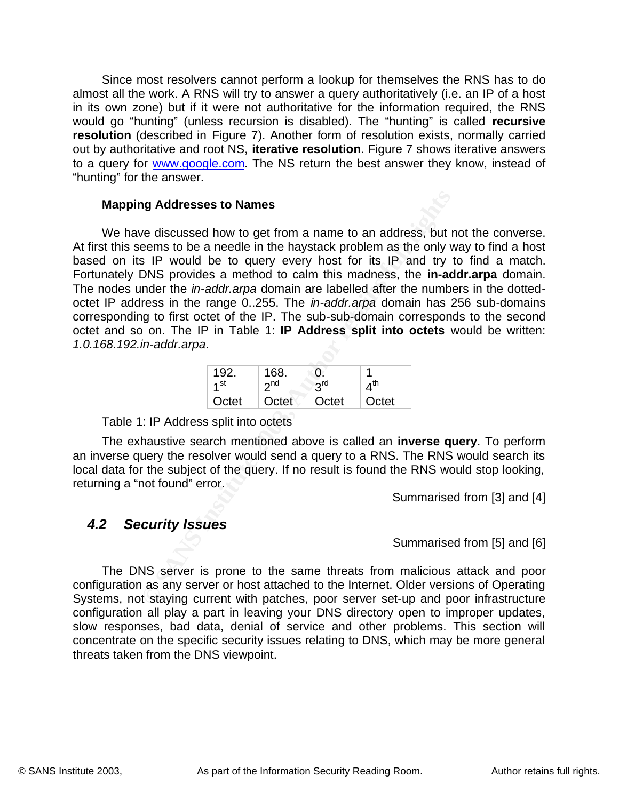Since most resolvers cannot perform a lookup for themselves the RNS has to do almost all the work. A RNS will try to answer a query authoritatively (i.e. an IP of a host in its own zone) but if it were not authoritative for the information required, the RNS would go "hunting" (unless recursion is disabled). The "hunting" is called **recursive resolution** (described in Figure 7). Another form of resolution exists, normally carried out by authoritative and root NS, **iterative resolution**. Figure 7 shows iterative answers to a query for www.google.com. The NS return the best answer they know, instead of "hunting" for the answer.

#### **Mapping Addresses to Names**

**ng Addresses to Names**<br>
we discussed how to get from a name to an address, but reems to be a needle in the haystack problem as the only vs<br>
nems to be a needde in the haystack problem as the only to<br>
DNS provides a method At first this seems to be a needle in the haystack problem as the only way to find a host We have discussed how to get from a name to an address, but not the converse. based on its IP would be to query every host for its IP and try to find a match. Fortunately DNS provides a method to calm this madness, the **in-addr.arpa** domain. The nodes under the *in-addr.arpa* domain are labelled after the numbers in the dottedoctet IP address in the range 0..255. The *in-addr.arpa* domain has 256 sub-domains corresponding to first octet of the IP. The sub-sub-domain corresponds to the second octet and so on. The IP in Table 1: **IP Address split into octets** would be written: *1.0.168.192.in-addr.arpa*.

| 192.            | 168.               |       |                 |
|-----------------|--------------------|-------|-----------------|
| 1 <sup>st</sup> | 2 <sub>nd</sub>    | 2rd   | $A^{\text{II}}$ |
| Octet           | Octet <sup>\</sup> | Octet | Octet           |

Table 1: IP Address split into octets

The exhaustive search mentioned above is called an **inverse query**. To perform an inverse query the resolver would send a query to a RNS. The RNS would search its local data for the subject of the query. If no result is found the RNS would stop looking, returning a "not found" error.

Summarised from [3] and [4]

### *4.2 Security Issues*

Summarised from [5] and [6]

 $K_{\rm eff}$  fingerprint  $\sim$  AF19  $R_{\rm eff}$  and  $\sim$   $R_{\rm eff}$  becomes designed by  $\sim$ The DNS server is prone to the same threats from malicious attack and poor configuration as any server or host attached to the Internet. Older versions of Operating Systems, not staying current with patches, poor server set-up and poor infrastructure configuration all play a part in leaving your DNS directory open to improper updates, slow responses, bad data, denial of service and other problems. This section will concentrate on the specific security issues relating to DNS, which may be more general threats taken from the DNS viewpoint.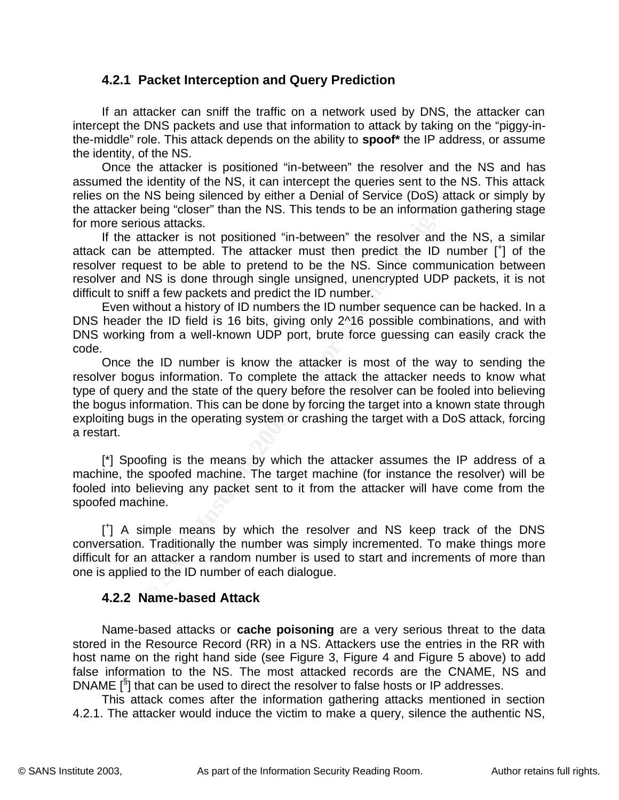### **4.2.1 Packet Interception and Query Prediction**

If an attacker can sniff the traffic on a network used by DNS, the attacker can intercept the DNS packets and use that information to attack by taking on the "piggy-inthe-middle" role. This attack depends on the ability to **spoof\*** the IP address, or assume the identity, of the NS.

Once the attacker is positioned "in-between" the resolver and the NS and has assumed the identity of the NS, it can intercept the queries sent to the NS. This attack relies on the NS being silenced by either a Denial of Service (DoS) attack or simply by the attacker being "closer" than the NS. This tends to be an information gathering stage for more serious attacks.

attack can be attempted. The attacker must then predict the ID number  $\begin{bmatrix} + \end{bmatrix}$  of the If the attacker is not positioned "in-between" the resolver and the NS, a similar resolver request to be able to pretend to be the NS. Since communication between resolver and NS is done through single unsigned, unencrypted UDP packets, it is not difficult to sniff a few packets and predict the ID number.

Even without a history of ID numbers the ID number sequence can be hacked. In a DNS header the ID field is 16 bits, giving only 2^16 possible combinations, and with DNS working from a well-known UDP port, brute force guessing can easily crack the code.

NS being silenced by either a Denial of Service (DoS) attheing "closer" than the NS. This tends to be an information bous attacks.<br>
bous attacks.<br>
thacker is not positioned "in-between" the resolver and the DD number<br>
thes Once the ID number is know the attacker is most of the way to sending the resolver bogus information. To complete the attack the attacker needs to know what type of query and the state of the query before the resolver can be fooled into believing the bogus information. This can be done by forcing the target into a known state through exploiting bugs in the operating system or crashing the target with a DoS attack, forcing a restart.

[\*] Spoofing is the means by which the attacker assumes the IP address of a machine, the spoofed machine. The target machine (for instance the resolver) will be fooled into believing any packet sent to it from the attacker will have come from the spoofed machine.

[ + ] A simple means by which the resolver and NS keep track of the DNS conversation. Traditionally the number was simply incremented. To make things more difficult for an attacker a random number is used to start and increments of more than one is applied to the ID number of each dialogue.

### **4.2.2 Name-based Attack**

host hame on the hight hand side (see Figure 6, Figure 4 and Figure 6 above) to dud<br>false information to the NS. The most attacked records are the CNAME, NS and Name-based attacks or **cache poisoning** are a very serious threat to the data stored in the Resource Record (RR) in a NS. Attackers use the entries in the RR with host name on the right hand side (see Figure 3, Figure 4 and Figure 5 above) to add DNAME  $[{}^{S}$ ] that can be used to direct the resolver to false hosts or IP addresses.

This attack comes after the information gathering attacks mentioned in section 4.2.1. The attacker would induce the victim to make a query, silence the authentic NS,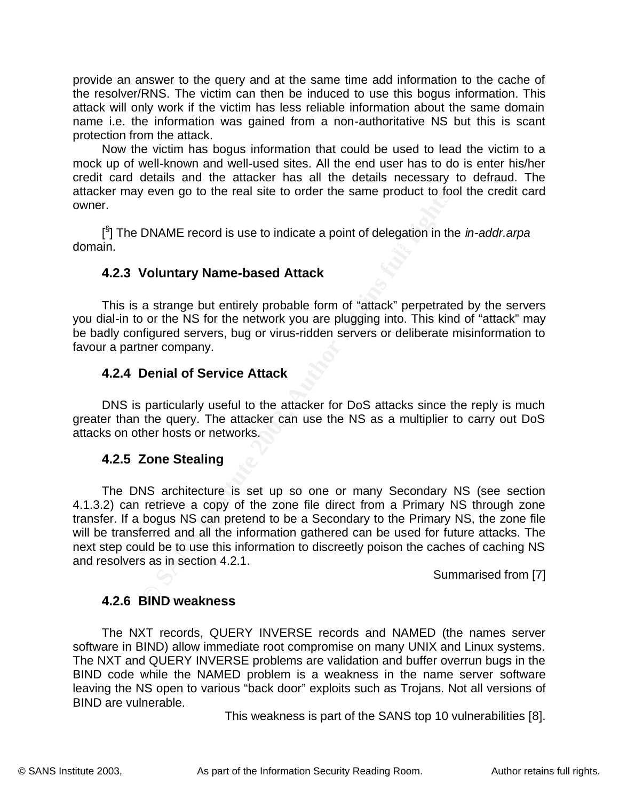provide an answer to the query and at the same time add information to the cache of the resolver/RNS. The victim can then be induced to use this bogus information. This attack will only work if the victim has less reliable information about the same domain name i.e. the information was gained from a non-authoritative NS but this is scant protection from the attack.

Now the victim has bogus information that could be used to lead the victim to a mock up of well-known and well-used sites. All the end user has to do is enter his/her credit card details and the attacker has all the details necessary to defraud. The attacker may even go to the real site to order the same product to fool the credit card owner.

 $\mathsf{main}.$ [ § ] The DNAME record is use to indicate a point of delegation in the *in-addr.arpa* domain.

### **4.2.3 Voluntary Name-based Attack**

This is a strange but entirely probable form of "attack" perpetrated by the servers you dial-in to or the NS for the network you are plugging into. This kind of "attack" may be badly configured servers, bug or virus-ridden servers or deliberate misinformation to favour a partner company.

### **4.2.4 Denial of Service Attack**

DNS is particularly useful to the attacker for DoS attacks since the reply is much greater than the query. The attacker can use the NS as a multiplier to carry out DoS attacks on other hosts or networks.

#### **4.2.5 Zone Stealing**

Figure 1 and the retainstic to didential and the conduct of the SAME record is use to indicate a point of delegation in the Voluntary Name-based Attack<br>
a strange but entirely probable form of "attack" perpetrate<br>
o or the The DNS architecture is set up so one or many Secondary NS (see section 4.1.3.2) can retrieve a copy of the zone file direct from a Primary NS through zone transfer. If a bogus NS can pretend to be a Secondary to the Primary NS, the zone file will be transferred and all the information gathered can be used for future attacks. The next step could be to use this information to discreetly poison the caches of caching NS and resolvers as in section 4.2.1.

Summarised from [7]

#### **4.2.6 BIND weakness**

The NXT and QUERY INVERSE problems are validation and buffer overrun bugs in the The NXT records, QUERY INVERSE records and NAMED (the names server software in BIND) allow immediate root compromise on many UNIX and Linux systems. BIND code while the NAMED problem is a weakness in the name server software leaving the NS open to various "back door" exploits such as Trojans. Not all versions of BIND are vulnerable.

This weakness is part of the SANS top 10 vulnerabilities [8].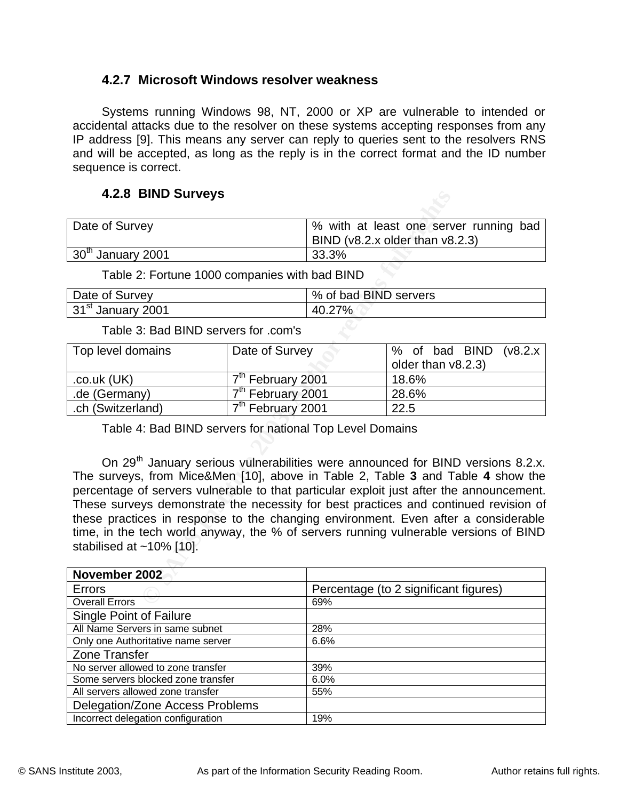### **4.2.7 Microsoft Windows resolver weakness**

Systems running Windows 98, NT, 2000 or XP are vulnerable to intended or accidental attacks due to the resolver on these systems accepting responses from any IP address [9]. This means any server can reply to queries sent to the resolvers RNS and will be accepted, as long as the reply is in the correct format and the ID number sequence is correct.

### **4.2.8 BIND Surveys**

| Date of Survey      | 8 With at least one server running bad<br>BIND ( $v8.2.x$ older than $v8.2.3$ ) |
|---------------------|---------------------------------------------------------------------------------|
| $30th$ January 2001 | 33.3%                                                                           |

Table 2: Fortune 1000 companies with bad BIND

| Date of Survey                | % of bad BIND servers |
|-------------------------------|-----------------------|
| 31 <sup>st</sup> January 2001 | 40.27%                |

Table 3: Bad BIND servers for .com's

| Top level domains | Date of Survey                | % of bad BIND (v8.2.x) |
|-------------------|-------------------------------|------------------------|
|                   |                               | older than v8.2.3)     |
| $.co.uk$ (UK)     | 7 <sup>th</sup> February 2001 | 18.6%                  |
| .de (Germany)     | 7 <sup>th</sup> February 2001 | 28.6%                  |
| .ch (Switzerland) | 7 <sup>th</sup> February 2001 | 22.5                   |

Table 4: Bad BIND servers for national Top Level Domains

**EXECUTE:**<br> **EXECUTE:**<br> **EXECUTE:**<br> **EXECUTE:**<br> **EXECUTE:**<br> **EXECUTE:**<br> **EXECUTE:**<br> **CONS**<br> **EXECUTE:**<br> **CONS**<br> **EXECUTE:**<br> **CONS**<br> **EXECUTE:**<br> **CONS**<br> **EXECUTE:**<br> **CONS**<br> **CONS**<br> **CONS**<br> **CONS**<br> **CONS**<br> **CONS**<br> **CONS**<br> **C** On 29<sup>th</sup> January serious vulnerabilities were announced for BIND versions 8.2.x. The surveys, from Mice&Men [10], above in Table 2, Table **3** and Table **4** show the percentage of servers vulnerable to that particular exploit just after the announcement. These surveys demonstrate the necessity for best practices and continued revision of these practices in response to the changing environment. Even after a considerable time, in the tech world anyway, the % of servers running vulnerable versions of BIND stabilised at  $~10\%$  [10].

| November 2002                      |                                       |
|------------------------------------|---------------------------------------|
| Errors                             | Percentage (to 2 significant figures) |
| <b>Overall Errors</b>              | 69%                                   |
| <b>Single Point of Failure</b>     |                                       |
| All Name Servers in same subnet    | 28%                                   |
| Only one Authoritative name server | 6.6%                                  |
| Zone Transfer                      |                                       |
| No server allowed to zone transfer | 39%                                   |
| Some servers blocked zone transfer | 6.0%                                  |
| All servers allowed zone transfer  | 55%                                   |
| Delegation/Zone Access Problems    |                                       |
| Incorrect delegation configuration | 19%                                   |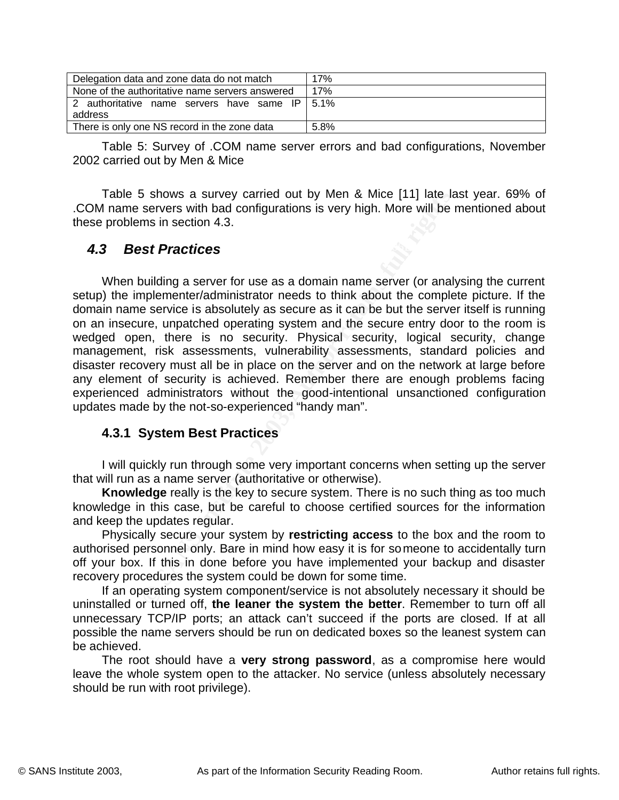| Delegation data and zone data do not match                | 17%  |
|-----------------------------------------------------------|------|
| None of the authoritative name servers answered           | 17%  |
| 2 authoritative name servers have same IP 5.1%<br>address |      |
| There is only one NS record in the zone data              | 5.8% |

Table 5: Survey of .COM name server errors and bad configurations, November 2002 carried out by Men & Mice

Table 5 shows a survey carried out by Men & Mice [11] late last year. 69% of .COM name servers with bad configurations is very high. More will be mentioned about these problems in section 4.3.

### **A.3 Best Practices And Facture 2F94 9980 FB5 06E49 4E49 4E49 A169 4E46 A169 4E46 A169 4E46 A169 4E46 A169 4E46 A169 4E46 A169 4E46 A169 4E46 A169 4E46 A169 4E46 A169 4E46 A169 4E46 A169 4E46 A169 4E46 A169 4E46 A169 4E4**

If shows a survey carried out by Men & Mice [11] late late<br>servers with bad configurations is very high. More will be leven servers with bad configurations is very high. More will be leven sin section 4.3.<br> **Star Practices** When building a server for use as a domain name server (or analysing the current setup) the implementer/administrator needs to think about the complete picture. If the domain name service is absolutely as secure as it can be but the server itself is running on an insecure, unpatched operating system and the secure entry door to the room is wedged open, there is no security. Physical security, logical security, change management, risk assessments, vulnerability assessments, standard policies and disaster recovery must all be in place on the server and on the network at large before any element of security is achieved. Remember there are enough problems facing experienced administrators without the good-intentional unsanctioned configuration updates made by the not-so-experienced "handy man".

### **4.3.1 System Best Practices**

I will quickly run through some very important concerns when setting up the server that will run as a name server (authoritative or otherwise).

**Knowledge** really is the key to secure system. There is no such thing as too much knowledge in this case, but be careful to choose certified sources for the information and keep the updates regular.

Physically secure your system by **restricting access** to the box and the room to authorised personnel only. Bare in mind how easy it is for someone to accidentally turn off your box. If this in done before you have implemented your backup and disaster recovery procedures the system could be down for some time.

If an operating system component/service is not absolutely necessary it should be uninstalled or turned off, **the leaner the system the better**. Remember to turn off all unnecessary TCP/IP ports; an attack can't succeed if the ports are closed. If at all possible the name servers should be run on dedicated boxes so the leanest system can be achieved.

The root should have a **very strong password**, as a compromise here would leave the whole system open to the attacker. No service (unless absolutely necessary should be run with root privilege).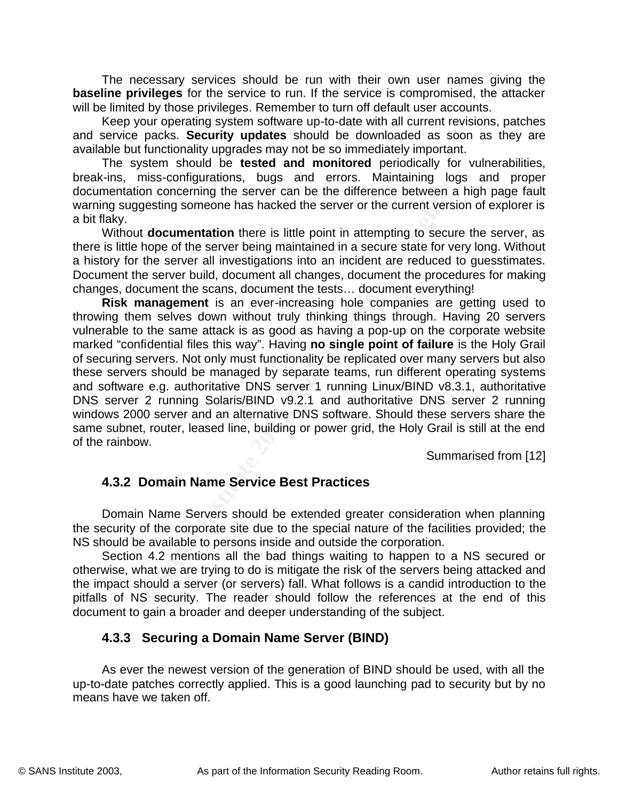The necessary services should be run with their own user names giving the **baseline privileges** for the service to run. If the service is compromised, the attacker will be limited by those privileges. Remember to turn off default user accounts.

Keep your operating system software up-to-date with all current revisions, patches and service packs. **Security updates** should be downloaded as soon as they are available but functionality upgrades may not be so immediately important.

The system should be **tested and monitored** periodically for vulnerabilities, break-ins, miss-configurations, bugs and errors. Maintaining logs and proper documentation concerning the server can be the difference between a high page fault warning suggesting someone has hacked the server or the current version of explorer is a bit flaky.

there is little hope of the server being maintained in a secure state for very long. Without Without **documentation** there is little point in attempting to secure the server, as a history for the server all investigations into an incident are reduced to guesstimates. Document the server build, document all changes, document the procedures for making changes, document the scans, document the tests… document everything!

on concerning the server can be the univerality be verter to enverted by the documentation there is little point in attempting to secure the server being maintained in a secure state for vertex all investigations into an i **Risk management** is an ever-increasing hole companies are getting used to throwing them selves down without truly thinking things through. Having 20 servers vulnerable to the same attack is as good as having a pop-up on the corporate website marked "confidential files this way". Having **no single point of failure** is the Holy Grail of securing servers. Not only must functionality be replicated over many servers but also these servers should be managed by separate teams, run different operating systems and software e.g. authoritative DNS server 1 running Linux/BIND v8.3.1, authoritative DNS server 2 running Solaris/BIND v9.2.1 and authoritative DNS server 2 running windows 2000 server and an alternative DNS software. Should these servers share the same subnet, router, leased line, building or power grid, the Holy Grail is still at the end of the rainbow.

Summarised from [12]

### **4.3.2 Domain Name Service Best Practices**

Domain Name Servers should be extended greater consideration when planning the security of the corporate site due to the special nature of the facilities provided; the NS should be available to persons inside and outside the corporation.

Section 4.2 mentions all the bad things waiting to happen to a NS secured or otherwise, what we are trying to do is mitigate the risk of the servers being attacked and the impact should a server (or servers) fall. What follows is a candid introduction to the pitfalls of NS security. The reader should follow the references at the end of this document to gain a broader and deeper understanding of the subject.

### **4.3.3 Securing a Domain Name Server (BIND)**

As ever the newest version of the generation of BIND should be used, with all the up-to-date patches correctly applied. This is a good launching pad to security but by no means have we taken off.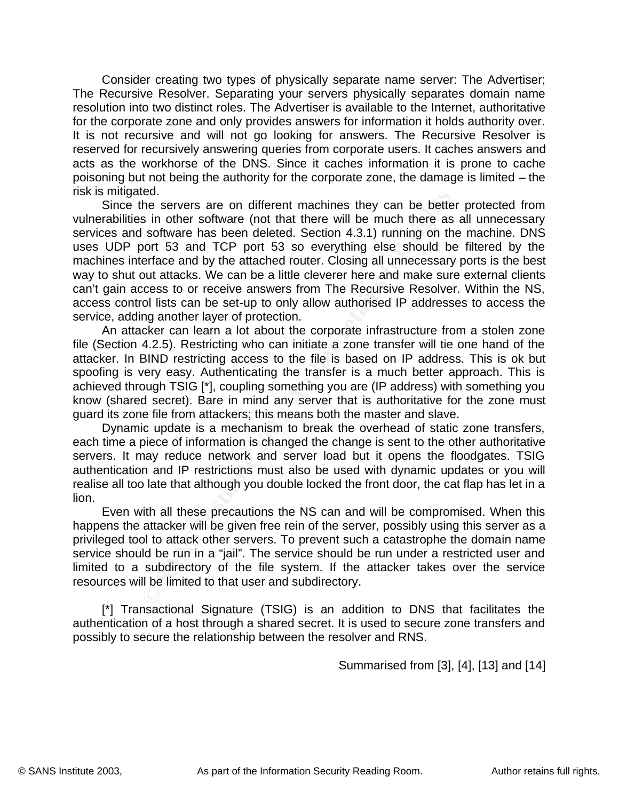Consider creating two types of physically separate name server: The Advertiser; The Recursive Resolver. Separating your servers physically separates domain name resolution into two distinct roles. The Advertiser is available to the Internet, authoritative for the corporate zone and only provides answers for information it holds authority over. It is not recursive and will not go looking for answers. The Recursive Resolver is reserved for recursively answering queries from corporate users. It caches answers and acts as the workhorse of the DNS. Since it caches information it is prone to cache poisoning but not being the authority for the corporate zone, the damage is limited – the risk is mitigated.

**ED.**<br>The servers are on different machines they can be bettes in other servers are on different Section 4.3.1) running on the soort 53 and TCP port 53 so everything else should be efface and by the attached router. Closin uses UDP port 53 and TCP port 53 so everything else should be filtered by the Since the servers are on different machines they can be better protected from vulnerabilities in other software (not that there will be much there as all unnecessary services and software has been deleted. Section 4.3.1) running on the machine. DNS machines interface and by the attached router. Closing all unnecessary ports is the best way to shut out attacks. We can be a little cleverer here and make sure external clients can't gain access to or receive answers from The Recursive Resolver. Within the NS, access control lists can be set-up to only allow authorised IP addresses to access the service, adding another layer of protection.

An attacker can learn a lot about the corporate infrastructure from a stolen zone file (Section 4.2.5). Restricting who can initiate a zone transfer will tie one hand of the attacker. In BIND restricting access to the file is based on IP address. This is ok but spoofing is very easy. Authenticating the transfer is a much better approach. This is achieved through TSIG [\*], coupling something you are (IP address) with something you know (shared secret). Bare in mind any server that is authoritative for the zone must guard its zone file from attackers; this means both the master and slave.

Dynamic update is a mechanism to break the overhead of static zone transfers, each time a piece of information is changed the change is sent to the other authoritative servers. It may reduce network and server load but it opens the floodgates. TSIG authentication and IP restrictions must also be used with dynamic updates or you will realise all too late that although you double locked the front door, the cat flap has let in a lion.

Even with all these precautions the NS can and will be compromised. When this happens the attacker will be given free rein of the server, possibly using this server as a privileged tool to attack other servers. To prevent such a catastrophe the domain name service should be run in a "jail". The service should be run under a restricted user and limited to a subdirectory of the file system. If the attacker takes over the service resources will be limited to that user and subdirectory.

[\*] Transactional Signature (TSIG) is an addition to DNS that facilitates the authentication of a host through a shared secret. It is used to secure zone transfers and possibly to secure the relationship between the resolver and RNS.

 ${\footnotesize {\textcolor{red}{\text{Summarised from [3]}, [4]}, [13]}}$  and [14]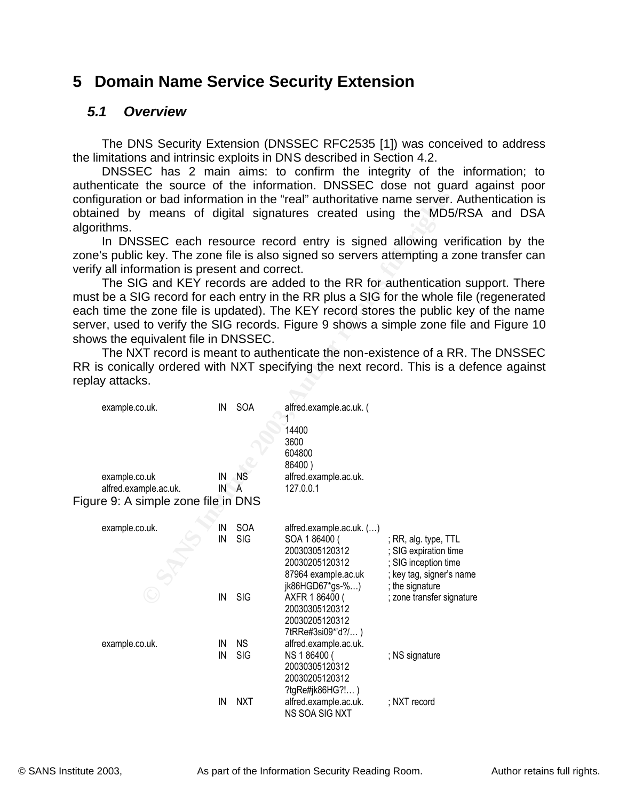## **5 Domain Name Service Security Extension**

### *5.1 Overview*

The DNS Security Extension (DNSSEC RFC2535 [1]) was conceived to address the limitations and intrinsic exploits in DNS described in Section 4.2.

DNSSEC has 2 main aims: to confirm the integrity of the information; to authenticate the source of the information. DNSSEC dose not guard against poor configuration or bad information in the "real" authoritative name server. Authentication is obtained by means of digital signatures created using the MD5/RSA and DSA algorithms.

In DNSSEC each resource record entry is signed allowing verification by the zone's public key. The zone file is also signed so servers attempting a zone transfer can verify all information is present and correct.

The SIG and KEY records are added to the RR for authentication support. There must be a SIG record for each entry in the RR plus a SIG for the whole file (regenerated each time the zone file is updated). The KEY record stores the public key of the name server, used to verify the SIG records. Figure 9 shows a simple zone file and Figure 10 shows the equivalent file in DNSSEC.

The NXT record is meant to authenticate the non-existence of a RR. The DNSSEC RR is conically ordered with NXT specifying the next record. This is a defence against replay attacks.

| configuration or bad information in the "real" authoritative name server. Auth<br>obtained by means of digital signatures created using the MD5/RS,<br>algorithms.                                  |          |            |                                   |                                               |
|-----------------------------------------------------------------------------------------------------------------------------------------------------------------------------------------------------|----------|------------|-----------------------------------|-----------------------------------------------|
| In DNSSEC each resource record entry is signed allowing verifical<br>zone's public key. The zone file is also signed so servers attempting a zone<br>verify all information is present and correct. |          |            |                                   |                                               |
| The SIG and KEY records are added to the RR for authentication su                                                                                                                                   |          |            |                                   |                                               |
| must be a SIG record for each entry in the RR plus a SIG for the whole file                                                                                                                         |          |            |                                   |                                               |
| each time the zone file is updated). The KEY record stores the public key                                                                                                                           |          |            |                                   |                                               |
| server, used to verify the SIG records. Figure 9 shows a simple zone file a                                                                                                                         |          |            |                                   |                                               |
| shows the equivalent file in DNSSEC.                                                                                                                                                                |          |            |                                   |                                               |
| The NXT record is meant to authenticate the non-existence of a RR. T                                                                                                                                |          |            |                                   |                                               |
| RR is conically ordered with NXT specifying the next record. This is a def-                                                                                                                         |          |            |                                   |                                               |
| replay attacks.                                                                                                                                                                                     |          |            |                                   |                                               |
|                                                                                                                                                                                                     |          |            |                                   |                                               |
| example.co.uk.                                                                                                                                                                                      | IN       | SOA        | alfred.example.ac.uk. (<br>1      |                                               |
|                                                                                                                                                                                                     |          |            | 14400                             |                                               |
|                                                                                                                                                                                                     |          |            | 3600                              |                                               |
|                                                                                                                                                                                                     |          |            | 604800<br>86400)                  |                                               |
| example.co.uk                                                                                                                                                                                       | IN       | <b>NS</b>  | alfred.example.ac.uk.             |                                               |
| alfred.example.ac.uk.                                                                                                                                                                               | IN A     |            | 127.0.0.1                         |                                               |
| Figure 9: A simple zone file in DNS                                                                                                                                                                 |          |            |                                   |                                               |
|                                                                                                                                                                                                     |          |            |                                   |                                               |
| example.co.uk.                                                                                                                                                                                      | IN<br>IN | SOA<br>SIG | alfred.example.ac.uk. ()          |                                               |
|                                                                                                                                                                                                     |          |            | SOA 186400 (<br>20030305120312    | ; RR, alg. type, TTL<br>; SIG expiration time |
|                                                                                                                                                                                                     |          |            | 20030205120312                    | SIG inception time                            |
|                                                                                                                                                                                                     |          |            | 87964 example.ac.uk               | ; key tag, signer's name                      |
|                                                                                                                                                                                                     |          |            | jk86HGD67*gs-%)                   | ; the signature                               |
|                                                                                                                                                                                                     | IN       | <b>SIG</b> | AXFR 186400 (                     | ; zone transfer signature                     |
|                                                                                                                                                                                                     |          |            | 20030305120312<br>20030205120312  |                                               |
|                                                                                                                                                                                                     |          |            | 7tRRe#3si09*'d?/)                 |                                               |
| example.co.uk.                                                                                                                                                                                      | IN       | <b>NS</b>  | alfred.example.ac.uk.             |                                               |
|                                                                                                                                                                                                     | IN       | SIG        | NS 186400 (                       | ; NS signature                                |
|                                                                                                                                                                                                     |          |            | 20030305120312                    |                                               |
|                                                                                                                                                                                                     |          |            | 20030205120312<br>?tgRe#jk86HG?!) |                                               |
|                                                                                                                                                                                                     | IN       | <b>NXT</b> | alfred.example.ac.uk.             | ; NXT record                                  |
|                                                                                                                                                                                                     |          |            | NS SOA SIG NXT                    |                                               |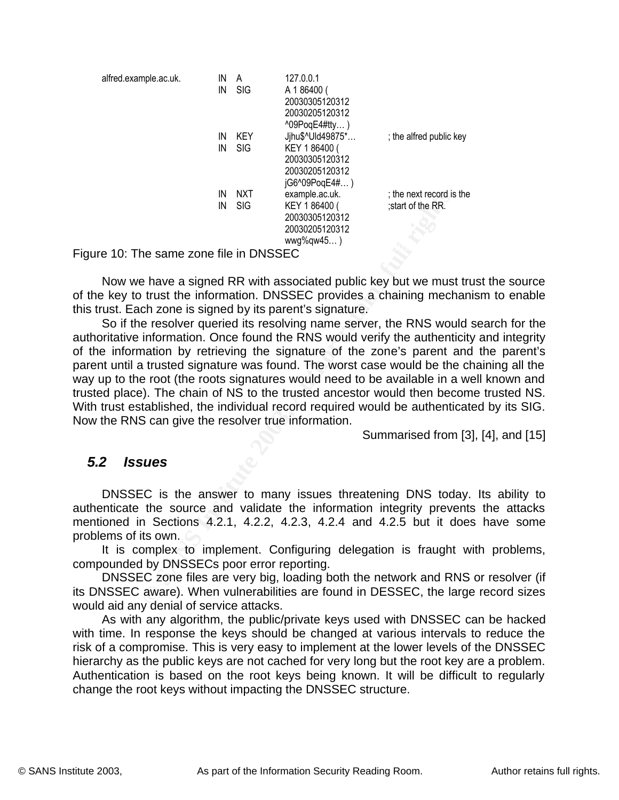| alfred.example.ac.uk.                   | IN | A          | 127.0.0.1            |                          |
|-----------------------------------------|----|------------|----------------------|--------------------------|
|                                         | IN | <b>SIG</b> | A 186400 (           |                          |
|                                         |    |            | 20030305120312       |                          |
|                                         |    |            | 20030205120312       |                          |
|                                         |    |            | $^{0.09P}$ oqE4#tty) |                          |
|                                         | IN | KEY        | Jihu\$^Uld49875*     | ; the alfred public key  |
|                                         | IN | <b>SIG</b> | KEY 186400 (         |                          |
|                                         |    |            | 20030305120312       |                          |
|                                         |    |            | 20030205120312       |                          |
|                                         |    |            | jG6^09PoqE4#)        |                          |
|                                         | IN | NXT        | example.ac.uk.       | ; the next record is the |
|                                         | IN | <b>SIG</b> | KEY 186400 (         | start of the RR.         |
|                                         |    |            | 20030305120312       |                          |
|                                         |    |            | 20030205120312       |                          |
|                                         |    |            | $wwg\%qw45)$         |                          |
| Figure 10: The same zone file in DNSSEC |    |            |                      |                          |

Now we have a signed RR with associated public key but we must trust the source of the key to trust the information. DNSSEC provides a chaining mechanism to enable this trust. Each zone is signed by its parent's signature.

IN NXT example acuk.<br>
IN SIG KEY 186400 (start of the RR.<br>
20030305120312<br>
20030305120312<br>
20030305120312<br>
20030305120312<br>
20030305120312<br>
he same zone file in DNSSEC provides a chaining mech<br>
ch zone is signed by its pare So if the resolver queried its resolving name server, the RNS would search for the authoritative information. Once found the RNS would verify the authenticity and integrity of the information by retrieving the signature of the zone's parent and the parent's parent until a trusted signature was found. The worst case would be the chaining all the way up to the root (the roots signatures would need to be available in a well known and trusted place). The chain of NS to the trusted ancestor would then become trusted NS. With trust established, the individual record required would be authenticated by its SIG. Now the RNS can give the resolver true information.

Summarised from [3], [4], and [15]

### *5.2 Issues*

DNSSEC is the answer to many issues threatening DNS today. Its ability to authenticate the source and validate the information integrity prevents the attacks mentioned in Sections 4.2.1, 4.2.2, 4.2.3, 4.2.4 and 4.2.5 but it does have some problems of its own.

It is complex to implement. Configuring delegation is fraught with problems, compounded by DNSSECs poor error reporting.

DNSSEC zone files are very big, loading both the network and RNS or resolver (if its DNSSEC aware). When vulnerabilities are found in DESSEC, the large record sizes would aid any denial of service attacks.

hierarchy as the public keys are not cached for very long but the root key are a problem. As with any algorithm, the public/private keys used with DNSSEC can be hacked with time. In response the keys should be changed at various intervals to reduce the risk of a compromise. This is very easy to implement at the lower levels of the DNSSEC Authentication is based on the root keys being known. It will be difficult to regularly change the root keys without impacting the DNSSEC structure.